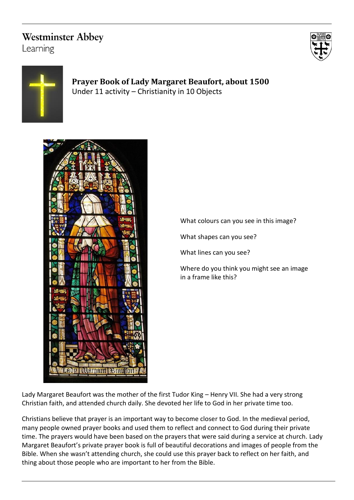## **Westminster Abbey**

Learning





### **Prayer Book of Lady Margaret Beaufort, about 1500** Under 11 activity – Christianity in 10 Objects



What colours can you see in this image?

What shapes can you see?

What lines can you see?

Where do you think you might see an image in a frame like this?

Lady Margaret Beaufort was the mother of the first Tudor King – Henry VII. She had a very strong Christian faith, and attended church daily. She devoted her life to God in her private time too.

Christians believe that prayer is an important way to become closer to God. In the medieval period, many people owned prayer books and used them to reflect and connect to God during their private time. The prayers would have been based on the prayers that were said during a service at church. Lady Margaret Beaufort's private prayer book is full of beautiful decorations and images of people from the Bible. When she wasn't attending church, she could use this prayer back to reflect on her faith, and thing about those people who are important to her from the Bible.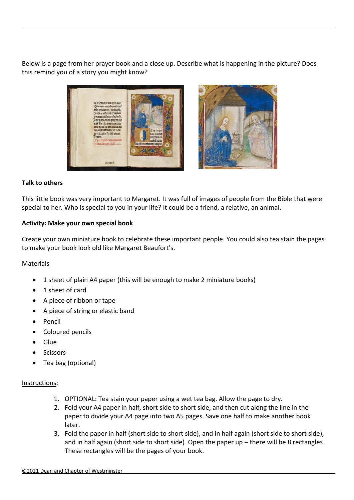Below is a page from her prayer book and a close up. Describe what is happening in the picture? Does this remind you of a story you might know?





#### **Talk to others**

This little book was very important to Margaret. It was full of images of people from the Bible that were special to her. Who is special to you in your life? It could be a friend, a relative, an animal.

#### **Activity: Make your own special book**

Create your own miniature book to celebrate these important people. You could also tea stain the pages to make your book look old like Margaret Beaufort's.

#### Materials

- 1 sheet of plain A4 paper (this will be enough to make 2 miniature books)
- 1 sheet of card
- A piece of ribbon or tape
- A piece of string or elastic band
- Pencil
- Coloured pencils
- Glue
- **Scissors**
- Tea bag (optional)

#### Instructions:

- 1. OPTIONAL: Tea stain your paper using a wet tea bag. Allow the page to dry.
- 2. Fold your A4 paper in half, short side to short side, and then cut along the line in the paper to divide your A4 page into two A5 pages. Save one half to make another book later.
- 3. Fold the paper in half (short side to short side), and in half again (short side to short side), and in half again (short side to short side). Open the paper up – there will be 8 rectangles. These rectangles will be the pages of your book.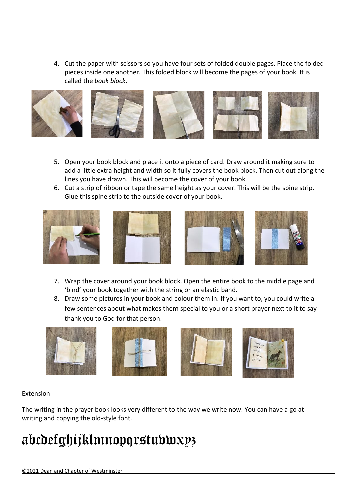4. Cut the paper with scissors so you have four sets of folded double pages. Place the folded pieces inside one another. This folded block will become the pages of your book. It is called the *book block*.



- 5. Open your book block and place it onto a piece of card. Draw around it making sure to add a little extra height and width so it fully covers the book block. Then cut out along the lines you have drawn. This will become the cover of your book.
- 6. Cut a strip of ribbon or tape the same height as your cover. This will be the spine strip. Glue this spine strip to the outside cover of your book.









- 7. Wrap the cover around your book block. Open the entire book to the middle page and 'bind' your book together with the string or an elastic band.
- 8. Draw some pictures in your book and colour them in. If you want to, you could write a few sentences about what makes them special to you or a short prayer next to it to say thank you to God for that person.









### Extension

The writing in the prayer book looks very different to the way we write now. You can have a go at writing and copying the old-style font.

# abcdefghijklmnopqrstuvwxyz